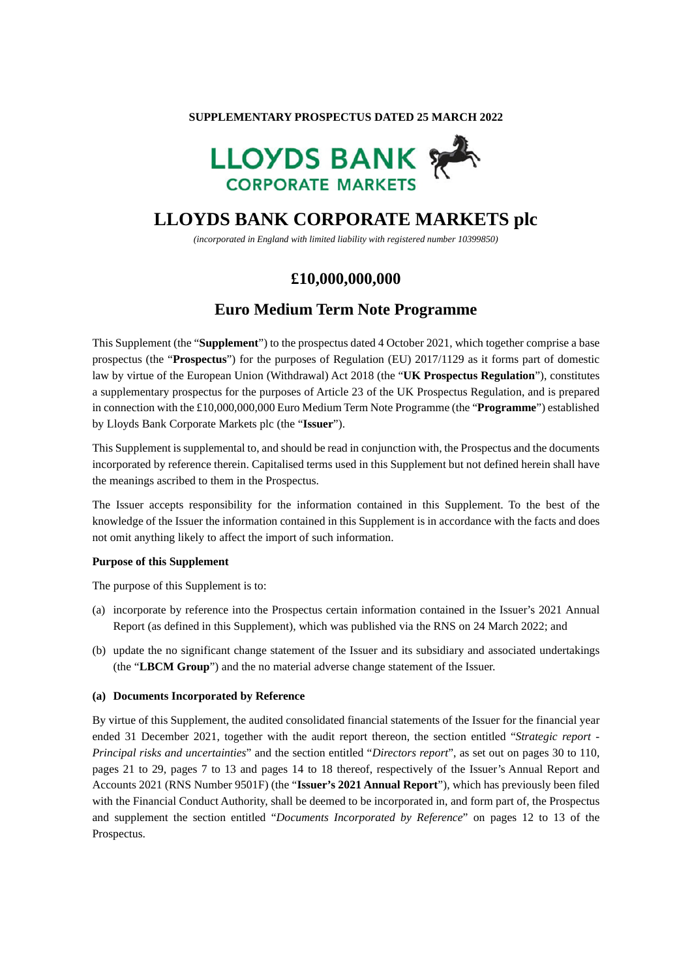#### **SUPPLEMENTARY PROSPECTUS DATED 25 MARCH 2022**



# **LLOYDS BANK CORPORATE MARKETS plc**

*(incorporated in England with limited liability with registered number 10399850)* 

## **£10,000,000,000**

## **Euro Medium Term Note Programme**

This Supplement (the "**Supplement**") to the prospectus dated 4 October 2021, which together comprise a base prospectus (the "**Prospectus**") for the purposes of Regulation (EU) 2017/1129 as it forms part of domestic law by virtue of the European Union (Withdrawal) Act 2018 (the "**UK Prospectus Regulation**"), constitutes a supplementary prospectus for the purposes of Article 23 of the UK Prospectus Regulation, and is prepared in connection with the £10,000,000,000 Euro Medium Term Note Programme (the "**Programme**") established by Lloyds Bank Corporate Markets plc (the "**Issuer**").

This Supplement is supplemental to, and should be read in conjunction with, the Prospectus and the documents incorporated by reference therein. Capitalised terms used in this Supplement but not defined herein shall have the meanings ascribed to them in the Prospectus.

The Issuer accepts responsibility for the information contained in this Supplement. To the best of the knowledge of the Issuer the information contained in this Supplement is in accordance with the facts and does not omit anything likely to affect the import of such information.

### **Purpose of this Supplement**

The purpose of this Supplement is to:

- (a) incorporate by reference into the Prospectus certain information contained in the Issuer's 2021 Annual Report (as defined in this Supplement), which was published via the RNS on 24 March 2022; and
- (b) update the no significant change statement of the Issuer and its subsidiary and associated undertakings (the "**LBCM Group**") and the no material adverse change statement of the Issuer.

#### **(a) Documents Incorporated by Reference**

By virtue of this Supplement, the audited consolidated financial statements of the Issuer for the financial year ended 31 December 2021, together with the audit report thereon, the section entitled "*Strategic report - Principal risks and uncertainties*" and the section entitled "*Directors report*", as set out on pages 30 to 110, pages 21 to 29, pages 7 to 13 and pages 14 to 18 thereof, respectively of the Issuer's Annual Report and Accounts 2021 (RNS Number 9501F) (the "**Issuer's 2021 Annual Report**"), which has previously been filed with the Financial Conduct Authority, shall be deemed to be incorporated in, and form part of, the Prospectus and supplement the section entitled "*Documents Incorporated by Reference*" on pages 12 to 13 of the Prospectus.